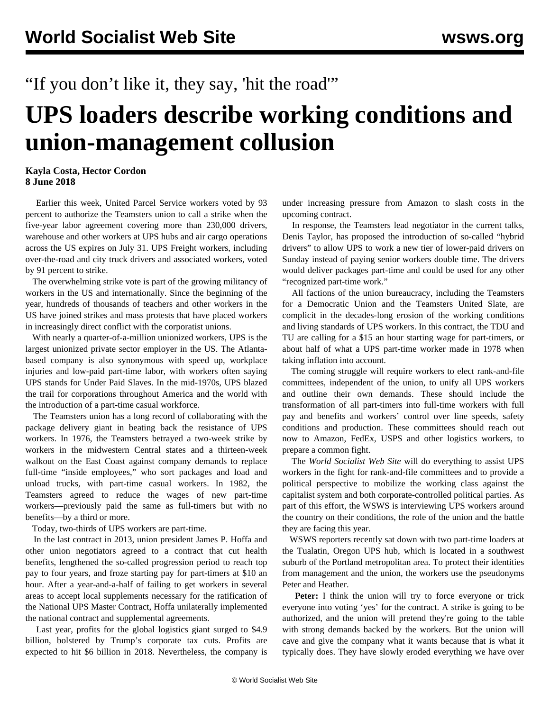## "If you don't like it, they say, 'hit the road""

## **UPS loaders describe working conditions and union-management collusion**

## **Kayla Costa, Hector Cordon 8 June 2018**

 Earlier this week, United Parcel Service workers voted by 93 percent to authorize the Teamsters union to call a strike when the five-year labor agreement covering more than 230,000 drivers, warehouse and other workers at UPS hubs and air cargo operations across the US expires on July 31. UPS Freight workers, including over-the-road and city truck drivers and associated workers, voted by 91 percent to strike.

 The overwhelming strike vote is part of the growing militancy of workers in the US and internationally. Since the beginning of the year, hundreds of thousands of teachers and other workers in the US have joined strikes and mass protests that have placed workers in increasingly direct conflict with the corporatist unions.

 With nearly a quarter-of-a-million unionized workers, UPS is the largest unionized private sector employer in the US. The Atlantabased company is also synonymous with speed up, workplace injuries and low-paid part-time labor, with workers often saying UPS stands for Under Paid Slaves. In the mid-1970s, UPS blazed the trail for corporations throughout America and the world with the introduction of a part-time casual workforce.

 The Teamsters union has a long record of collaborating with the package delivery giant in beating back the resistance of UPS workers. In 1976, the Teamsters betrayed a two-week strike by workers in the midwestern Central states and a thirteen-week walkout on the East Coast against company demands to replace full-time "inside employees," who sort packages and load and unload trucks, with part-time casual workers. In 1982, the Teamsters agreed to reduce the wages of new part-time workers—previously paid the same as full-timers but with no benefits—by a third or more.

Today, two-thirds of UPS workers are part-time.

 In the last contract in 2013, union president James P. Hoffa and other union negotiators agreed to a contract that cut health benefits, lengthened the so-called progression period to reach top pay to four years, and froze starting pay for part-timers at \$10 an hour. After a year-and-a-half of failing to get workers in several areas to accept local supplements necessary for the ratification of the National UPS Master Contract, Hoffa unilaterally implemented the national contract and supplemental agreements.

 Last year, profits for the global logistics giant surged to \$4.9 billion, bolstered by Trump's corporate tax cuts. Profits are expected to hit \$6 billion in 2018. Nevertheless, the company is

under increasing pressure from Amazon to slash costs in the upcoming contract.

 In response, the Teamsters lead negotiator in the current talks, Denis Taylor, has proposed the introduction of so-called "hybrid drivers" to allow UPS to work a new tier of lower-paid drivers on Sunday instead of paying senior workers double time. The drivers would deliver packages part-time and could be used for any other "recognized part-time work."

 All factions of the union bureaucracy, including the Teamsters for a Democratic Union and the Teamsters United Slate, are complicit in the decades-long erosion of the working conditions and living standards of UPS workers. In this contract, the TDU and TU are calling for a \$15 an hour starting wage for part-timers, or about half of what a UPS part-time worker made in 1978 when taking inflation into account.

 The coming struggle will require workers to elect rank-and-file committees, independent of the union, to unify all UPS workers and outline their own demands. These should include the transformation of all part-timers into full-time workers with full pay and benefits and workers' control over line speeds, safety conditions and production. These committees should reach out now to Amazon, FedEx, USPS and other logistics workers, to prepare a common fight.

 The *World Socialist Web Site* will do everything to assist UPS workers in the fight for rank-and-file committees and to provide a political perspective to mobilize the working class against the capitalist system and both corporate-controlled political parties. As part of this effort, the WSWS is interviewing UPS workers around the country on their conditions, the role of the union and the battle they are facing this year.

 WSWS reporters recently sat down with two part-time loaders at the Tualatin, Oregon UPS hub, which is located in a southwest suburb of the Portland metropolitan area. To protect their identities from management and the union, the workers use the pseudonyms Peter and Heather.

 **Peter:** I think the union will try to force everyone or trick everyone into voting 'yes' for the contract. A strike is going to be authorized, and the union will pretend they're going to the table with strong demands backed by the workers. But the union will cave and give the company what it wants because that is what it typically does. They have slowly eroded everything we have over